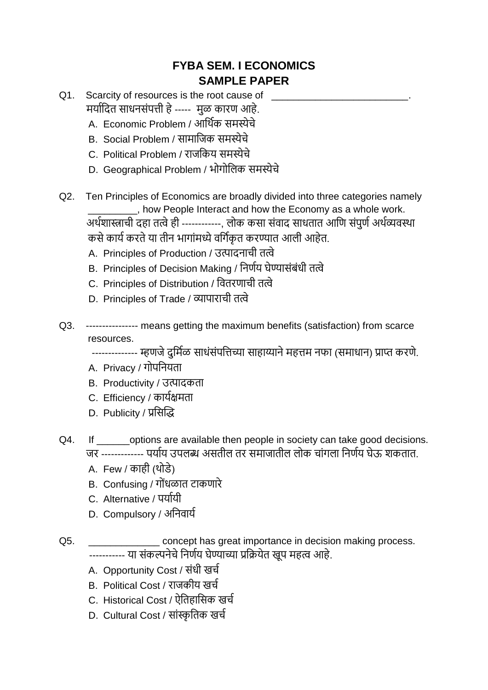## **FYBA SEM. I ECONOMICS SAMPLE PAPER**

- Q1. Scarcity of resources is the root cause of मययाददत सयधनसंपत्ती हे----- मुळ कयरण आहे.
	- A. Economic Problem / आर्थिक समस्येचे
	- B. Social Problem / सामाजिक समस्येचे
	- C. Political Problem / रयिदकय समस्येचे
	- D. Geographical Problem / भोगोदिक समस्येचे
- Q2. Ten Principles of Economics are broadly divided into three categories namely \_\_\_\_\_\_\_\_\_, how People Interact and how the Economy as a whole work. अर्थशास्त्राची दहा तत्वे ही ------------. लोक कसा संवाद साधतात आणि संपूर्ण अर्थव्यवस्था कसे कार्य करते या तीन भागांमध्ये वर्गिकृत करण्यात आली आहेत.
	- A. Principles of Production / उत्पादनाची तत्वे
	- B. Principles of Decision Making / दनणाय घेण्ययसंबंधी तत्वे
	- C. Principles of Distribution / दवतरणयची तत्वे
	- D. Principles of Trade / व्ययपयरयची तत्वे
- Q3. ---------------- means getting the maximum benefits (satisfaction) from scarce resources.

-------------- म्हणजे दुर्मिळ साधंसंपत्तिच्या साहाय्याने महत्तम नफा (समाधान) प्राप्त करणे.

- A. Privacy / गोपनियता
- B. Productivity / उत्पादकता
- C. Efficiency / कार्यक्षमता
- D. Publicity / प्रसिद्धि
- Q4. If options are available then people in society can take good decisions. जर ------------- पर्याय उपलब्ध असतील तर समाजातील लोक चांगला निर्णय घेऊ शकतात.
	- A. Few / कयही (थोडे)
	- B. Confusing / गोंधळात टाकणारे
	- C. Alternative / पययायी
	- D. Compulsory / अनिवार्य
- Q5. **Q5.** Concept has great importance in decision making process. ----------- या संकल्पनेचे निर्णय घेण्याच्या प्रक्रियेत खूप महत्व आहे.
	- A. Opportunity Cost / संधी खर्च
	- B. Political Cost / राजकीय खर्च
	- C. Historical Cost / ऐतिहासिक खर्च
	- D. Cultural Cost / सांस्कृतिक खर्च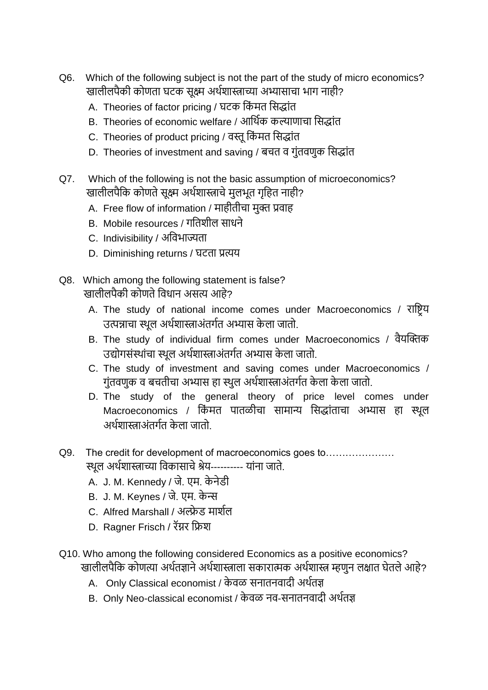- Q6. Which of the following subject is not the part of the study of micro economics? खालीलपैकी कोणता घटक सुक्ष्म अर्थशास्त्राच्या अभ्यासाचा भाग नाही?
	- A. Theories of factor pricing / घटक किंमत सिद्धांत
	- B. Theories of economic welfare / आर्थिक कल्याणाचा सिद्धांत
	- C. Theories of product pricing / वस्तु किंमत सिद्धांत
	- D. Theories of investment and saving / बचत व गुंतवणुक सिद्धांत
- Q7. Which of the following is not the basic assumption of microeconomics? खालीलपैकि कोणते सुक्ष्म अर्थशास्त्राचे मुलभूत गृहित नाही?
	- A. Free flow of information / माहीतीचा मुक्त प्रवाह
	- B. Mobile resources / गतिशील साधने
	- C. Indivisibility / अविभाज्यता
	- D. Diminishing returns / घटता प्रत्यय
- Q8. Which among the following statement is false? खालीलपैकी कोणते विधान असत्य आहे?
	- A. The study of national income comes under Macroeconomics / राष्ट्रिय उत्पन्नाचा स्थूल अर्थशास्त्राअंतर्गत अभ्यास केला जातो.
	- B. The study of individual firm comes under Macroeconomics / वैयद्धक्तक उद्योगसंस्थांचा स्थल अर्थशास्त्राअंतर्गत अभ्यास केला जातो.
	- C. The study of investment and saving comes under Macroeconomics / गुंतवणुक व बचतीचा अभ्यास हा स्थुल अर्थशास्त्राअंतर्गत केला केला जातो.
	- D. The study of the general theory of price level comes under Macroeconomics / किंमत पातळीचा सामान्य सिद्धांताचा अभ्यास हा स्थूल अर्थशास्त्राअंतर्गत केला जातो
- Q9. The credit for development of macroeconomics goes to........................ स्थूल अर्थशास्त्राच्या विकासाचे श्रेय---------- यांना जाते.
	- A. J. M. Kennedy / िे. एम. के नेडी
	- B. J. M. Keynes / िे. एम. के न्स
	- C. Alfred Marshall / अल्फ्रेड मार्शल
	- D. Ragner Frisch / रॅग्नर फ्रिश
- Q10. Who among the following considered Economics as a positive economics? खालीलपैकि कोणत्या अर्थतज्ञाने अर्थशास्त्राला सकारात्मक अर्थशास्त्र म्हणुन लक्षात घेतले आहे?
	- A. Only Classical economist / केवळ सनातनवादी अर्थतज्ञ
	- B. Only Neo-classical economist / केवळ नव-सनातनवादी अर्थतज्ञ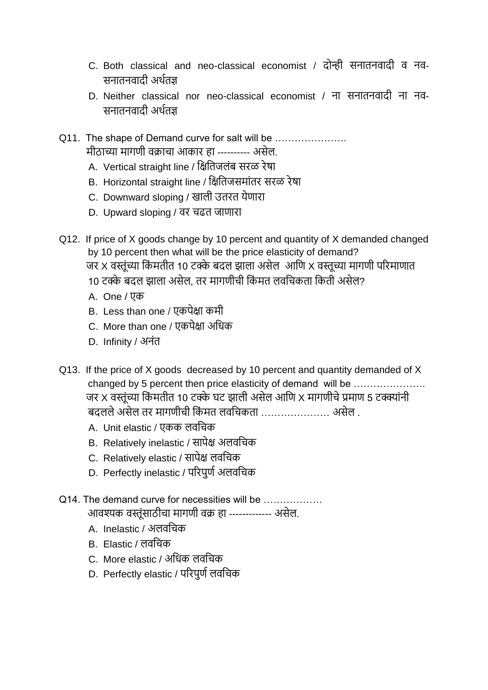- C. Both classical and neo-classical economist / दोन्ही सनातनवादी व नव-सनयतनवयदी अथातज्ञ
- D. Neither classical nor neo-classical economist / ना सनातनवादी ना नव-सनयतनवयदी अथातज्ञ
- Q11. The shape of Demand curve for salt will be ..................... मीठाच्या मागणी वक्राचा आकार हा ---------- असेल.
	- A. Vertical straight line / क्षितिजलंब सरळ रेषा
	- B. Horizontal straight line / क्षितिजसमांतर सरळ रेषा
	- C. Downward sloping / खाली उतरत येणारा
	- D. Upward sloping / वर चढत जाणारा
- Q12. If price of X goods change by 10 percent and quantity of X demanded changed by 10 percent then what will be the price elasticity of demand? जर X वस्तूंच्या किंमतीत 10 टक्के बदल झाला असेल आणि X वस्तूच्या मागणी परिमाणात
	- 10 टक्के बदल झाला असेल. तर मागणीची किंमत लवचिकता किती असेल?
	- A. One / एक
	- B. Less than one / एकपेक्षा कमी
	- C. More than one / एकपेक्षा अधिक
	- D. Infinity / अनंत
- Q13. If the price of X goods decreased by 10 percent and quantity demanded of X changed by 5 percent then price elasticity of demand will be …………………. जर X वस्तूंच्या किंमतीत 10 टक्के घट झाली असेल आणि X मागणीचे प्रमाण 5 टक्क्यांनी बदलले असेल तर मागणीची किंमत लवचिकता …………………… असेल .
	- A. Unit elastic / एकक लवचिक
	- B. Relatively inelastic / सापेक्ष अलवचिक
	- C. Relatively elastic / सापेक्ष लवचिक
	- D. Perfectly inelastic / परिपूर्ण अलवचिक
- Q14. The demand curve for necessities will be आवश्यक वस्तूंसाठीचा मागणी वक्र हा ------------- असेल.
	- A. Inelastic / अलवचिक
	- B. Elastic / िवदचक
	- C. More elastic / अधिक लवचिक
	- D. Perfectly elastic / परिपूर्ण लवचिक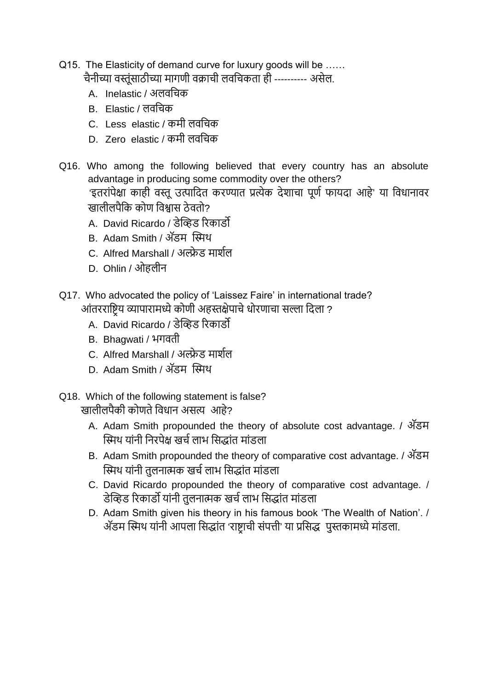- Q15. The Elasticity of demand curve for luxury goods will be …… चैनीच्या वस्तुंसाठीच्या मागणी वक्राची लवचिकता ही ---------- असेल.
	- A. Inelastic / अलवचिक
	- B. Flastic / लवचिक
	- C. Less elastic / कमी लवचिक
	- D. Zero elastic / कमी लवचिक
- Q16. Who among the following believed that every country has an absolute advantage in producing some commodity over the others? 'इतरांपेक्षा काही वस्तू उत्पादित करण्यात प्रत्येक देशाचा पूर्ण फायदा आहे' या विधानावर खालीलपैकि कोण विश्वास ठेवतो?
	- A. David Ricardo / डेव्हिड रिकार्डो
	- B. Adam Smith / अॅडम द्धिथ
	- C. Alfred Marshall / अल्फ्रेड मार्शल
	- D. Ohlin / ओहलीन
- Q17. Who advocated the policy of 'Laissez Faire' in international trade? आंतरराष्ट्रिय व्यापारामध्ये कोणी अहस्तक्षेपाचे धोरणाचा सल्ला दिला ?
	- A. David Ricardo / डेद्धिड ररकयडो
	- B. Bhagwati / भगवती
	- C. Alfred Marshall / अल्फ्रेड मार्शल
	- D. Adam Smith / अॅडम द्धिथ
- Q18. Which of the following statement is false? खालीलपैकी कोणते विधान असत्य आहे?
	- A. Adam Smith propounded the theory of absolute cost advantage. / अॅडम स्मिथ यांनी निरपेक्ष खर्च लाभ सिद्धांत मांडला
	- B. Adam Smith propounded the theory of comparative cost advantage. / अॅडम स्मिथ यांनी तुलनात्मक खर्च लाभ सिद्धांत मांडला
	- C. David Ricardo propounded the theory of comparative cost advantage. / डेव्हिड रिकार्डो यांनी तुलनात्मक खर्च लाभ सिद्धांत मांडला
	- D. Adam Smith given his theory in his famous book 'The Wealth of Nation'. / अॅडम स्मिथ यांनी आपला सिद्धांत 'राष्ट्राची संपत्ती' या प्रसिद्ध पुस्तकामध्ये मांडला.